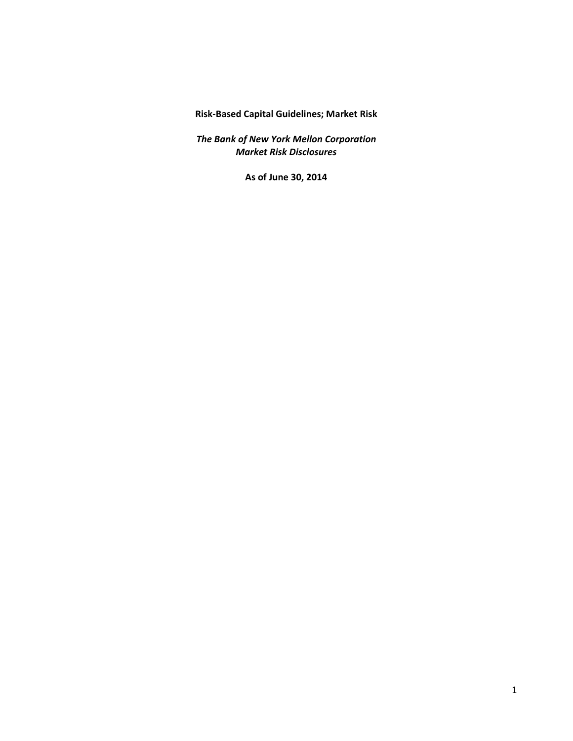**Risk‐Based Capital Guidelines; Market Risk**

 *The Bank of New York Mellon Corporation Market Risk Disclosures*

 **As of June 30, 2014**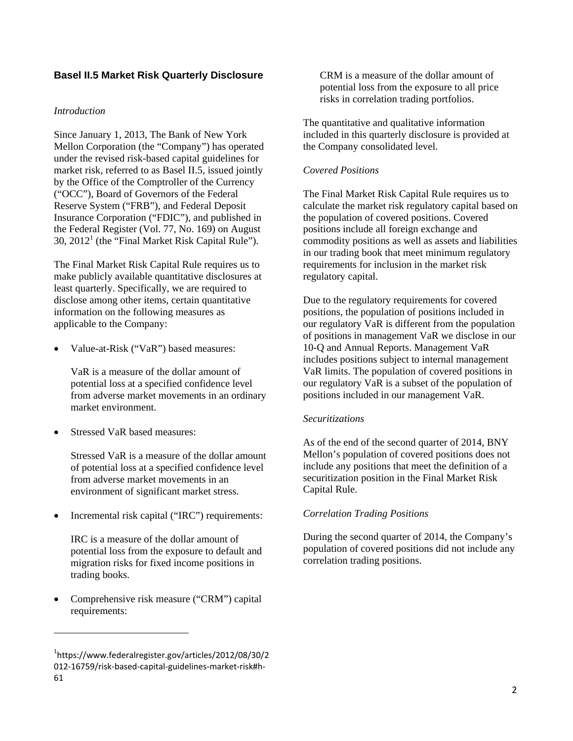# **Basel II.5 Market Risk Quarterly Disclosure**

### *Introduction*

Since January 1, 2013, The Bank of New York Mellon Corporation (the "Company") has operated under the revised risk-based capital guidelines for market risk, referred to as Basel II.5, issued jointly by the Office of the Comptroller of the Currency ("OCC"), Board of Governors of the Federal Reserve System ("FRB"), and Federal Deposit Insurance Corporation ("FDIC"), and published in the Federal Register (Vol. 77, No. 169) on August  $30$ ,  $2012<sup>1</sup>$  (the "Final Market Risk Capital Rule").

The Final Market Risk Capital Rule requires us to make publicly available quantitative disclosures at least quarterly. Specifically, we are required to disclose among other items, certain quantitative information on the following measures as applicable to the Company:

 Value-at-Risk ("VaR") based measures:

VaR is a measure of the dollar amount of potential loss at a specified confidence level from adverse market movements in an ordinary market environment.

 Stressed VaR based measures:

Stressed VaR is a measure of the dollar amount of potential loss at a specified confidence level from adverse market movements in an environment of significant market stress.

 Incremental risk capital ("IRC") requirements:

IRC is a measure of the dollar amount of potential loss from the exposure to default and migration risks for fixed income positions in trading books.

 Comprehensive risk measure ("CRM") capital requirements:

CRM is a measure of the dollar amount of potential loss from the exposure to all price risks in correlation trading portfolios.

The quantitative and qualitative information included in this quarterly disclosure is provided at the Company consolidated level.

## *Covered Positions*

The Final Market Risk Capital Rule requires us to calculate the market risk regulatory capital based on the population of covered positions. Covered positions include all foreign exchange and commodity positions as well as assets and liabilities in our trading book that meet minimum regulatory requirements for inclusion in the market risk regulatory capital.

Due to the regulatory requirements for covered positions, the population of positions included in our regulatory VaR is different from the population of positions in management VaR we disclose in our 10-Q and Annual Reports. Management VaR includes positions subject to internal management VaR limits. The population of covered positions in our regulatory VaR is a subset of the population of positions included in our management VaR.

#### *Securitizations*

As of the end of the second quarter of 2014, BNY Mellon's population of covered positions does not include any positions that meet the definition of a securitization position in the Final Market Risk Capital Rule.

## *Correlation Trading Positions*

During the second quarter of 2014, the Company's population of covered positions did not include any correlation trading positions.

<sup>1</sup> https://www.federalregister.gov/articles/2012/08/30/2 012‐16759/risk‐based‐capital‐guidelines‐market‐risk#h‐ 61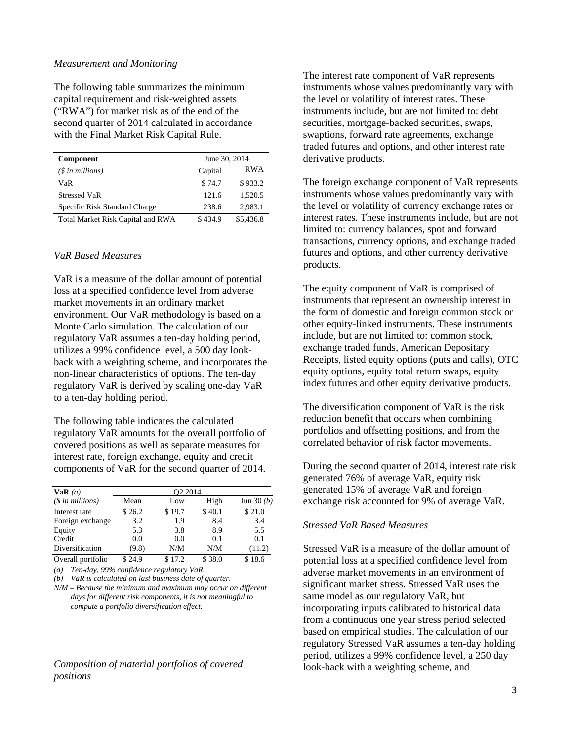#### *Measurement and Monitoring*

The following table summarizes the minimum capital requirement and risk-weighted assets ("RWA") for market risk as of the end of the second quarter of 2014 calculated in accordance with the Final Market Risk Capital Rule.

| <b>Component</b>                  | June 30, 2014 |            |
|-----------------------------------|---------------|------------|
| $(S \in \mathbb{N})$ in millions) | Capital       | <b>RWA</b> |
| VaR                               | \$74.7        | \$933.2    |
| <b>Stressed VaR</b>               | 121.6         | 1.520.5    |
| Specific Risk Standard Charge     | 238.6         | 2.983.1    |
| Total Market Risk Capital and RWA | \$434.9       | \$5,436.8  |

#### *VaR Based Measures*

VaR is a measure of the dollar amount of potential loss at a specified confidence level from adverse market movements in an ordinary market environment. Our VaR methodology is based on a Monte Carlo simulation. The calculation of our regulatory VaR assumes a ten-day holding period, utilizes a 99% confidence level, a 500 day lookback with a weighting scheme, and incorporates the non-linear characteristics of options. The ten-day regulatory VaR is derived by scaling one-day VaR to a ten-day holding period.

The following table indicates the calculated regulatory VaR amounts for the overall portfolio of covered positions as well as separate measures for interest rate, foreign exchange, equity and credit components of VaR for the second quarter of 2014.

| VaR(a)                    | Q2 2014 |        |        |             |
|---------------------------|---------|--------|--------|-------------|
| $(\text{\$ in millions})$ | Mean    | Low    | High   | Jun $30(b)$ |
| Interest rate             | \$26.2  | \$19.7 | \$40.1 | \$21.0      |
| Foreign exchange          | 3.2     | 1.9    | 8.4    | 3.4         |
| Equity                    | 5.3     | 3.8    | 8.9    | 5.5         |
| Credit                    | 0.0     | 0.0    | 0.1    | 0.1         |
| Diversification           | (9.8)   | N/M    | N/M    | (11.2)      |
| Overall portfolio         | \$24.9  | 17.2   | \$38.0 | 18.6        |

*(a) Ten-day, 99% confidence regulatory VaR.* 

*(b) VaR is calculated on last business date of quarter.* 

*N/M* – *Because the minimum and maximum may occur on different days for different risk components, it is not meaningful to compute a portfolio diversification effect.* 

#### *Composition of material portfolios of covered positions*

The interest rate component of VaR represents instruments whose values predominantly vary with the level or volatility of interest rates. These instruments include, but are not limited to: debt securities, mortgage-backed securities, swaps, swaptions, forward rate agreements, exchange traded futures and options, and other interest rate derivative products.

The foreign exchange component of VaR represents instruments whose values predominantly vary with the level or volatility of currency exchange rates or interest rates. These instruments include, but are not limited to: currency balances, spot and forward transactions, currency options, and exchange traded futures and options, and other currency derivative products.

The equity component of VaR is comprised of instruments that represent an ownership interest in the form of domestic and foreign common stock or other equity-linked instruments. These instruments include, but are not limited to: common stock, exchange traded funds, American Depositary Receipts, listed equity options (puts and calls), OTC equity options, equity total return swaps, equity index futures and other equity derivative products.

The diversification component of VaR is the risk reduction benefit that occurs when combining portfolios and offsetting positions, and from the correlated behavior of risk factor movements.

During the second quarter of 2014, interest rate risk generated 76% of average VaR, equity risk generated 15% of average VaR and foreign exchange risk accounted for 9% of average VaR.

### *Stressed VaR Based Measures*

Stressed VaR is a measure of the dollar amount of potential loss at a specified confidence level from adverse market movements in an environment of significant market stress. Stressed VaR uses the same model as our regulatory VaR, but incorporating inputs calibrated to historical data from a continuous one year stress period selected based on empirical studies. The calculation of our regulatory Stressed VaR assumes a ten-day holding period, utilizes a 99% confidence level, a 250 day look-back with a weighting scheme, and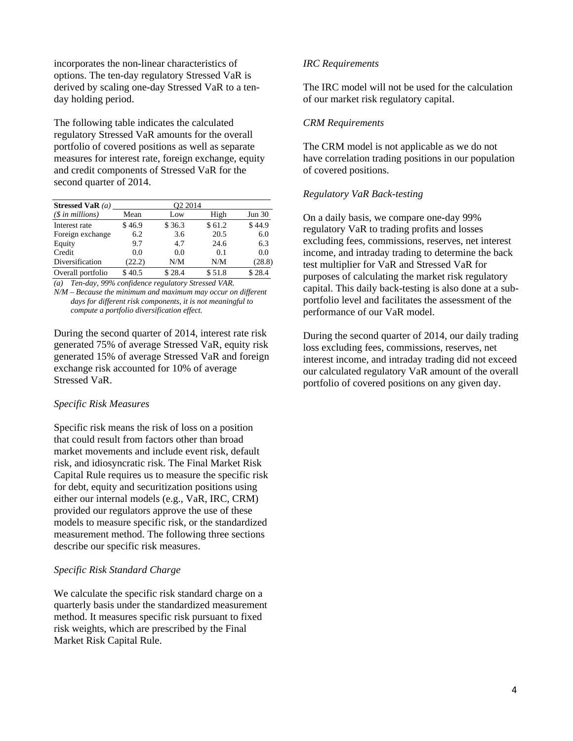incorporates the non-linear characteristics of options. The ten-day regulatory Stressed VaR is derived by scaling one-day Stressed VaR to a tenday holding period.

The following table indicates the calculated regulatory Stressed VaR amounts for the overall portfolio of covered positions as well as separate measures for interest rate, foreign exchange, equity and credit components of Stressed VaR for the second quarter of 2014.

| Stressed VaR $(a)$        | O <sub>2</sub> 2014 |        |        |        |
|---------------------------|---------------------|--------|--------|--------|
| $(\text{\$ in millions})$ | Mean                | Low    | High   | Jun 30 |
| Interest rate             | \$46.9              | \$36.3 | \$61.2 | \$44.9 |
| Foreign exchange          | 6.2                 | 3.6    | 20.5   | 6.0    |
| Equity                    | 9.7                 | 4.7    | 24.6   | 6.3    |
| Credit                    | 0.0                 | 0.0    | 0.1    | 0.0    |
| Diversification           | (22.2)              | N/M    | N/M    | (28.8) |
| Overall portfolio         | \$40.5              | \$28.4 | \$51.8 | \$28.4 |

*(a) Ten-day, 99% confidence regulatory Stressed VAR.* 

*N/M* – *Because the minimum and maximum may occur on different days for different risk components, it is not meaningful to compute a portfolio diversification effect.* 

During the second quarter of 2014, interest rate risk generated 75% of average Stressed VaR, equity risk generated 15% of average Stressed VaR and foreign exchange risk accounted for 10% of average Stressed VaR.

#### *Specific Risk Measures*

Specific risk means the risk of loss on a position that could result from factors other than broad market movements and include event risk, default risk, and idiosyncratic risk. The Final Market Risk Capital Rule requires us to measure the specific risk for debt, equity and securitization positions using either our internal models (e.g., VaR, IRC, CRM) provided our regulators approve the use of these models to measure specific risk, or the standardized measurement method. The following three sections describe our specific risk measures.

## *Specific Risk Standard Charge*

We calculate the specific risk standard charge on a quarterly basis under the standardized measurement method. It measures specific risk pursuant to fixed risk weights, which are prescribed by the Final Market Risk Capital Rule.

#### *IRC Requirements*

The IRC model will not be used for the calculation of our market risk regulatory capital.

#### *CRM Requirements*

The CRM model is not applicable as we do not have correlation trading positions in our population of covered positions.

#### *Regulatory VaR Back-testing*

On a daily basis, we compare one-day 99% regulatory VaR to trading profits and losses excluding fees, commissions, reserves, net interest income, and intraday trading to determine the back test multiplier for VaR and Stressed VaR for purposes of calculating the market risk regulatory capital. This daily back-testing is also done at a subportfolio level and facilitates the assessment of the performance of our VaR model.

During the second quarter of 2014, our daily trading loss excluding fees, commissions, reserves, net interest income, and intraday trading did not exceed our calculated regulatory VaR amount of the overall portfolio of covered positions on any given day.